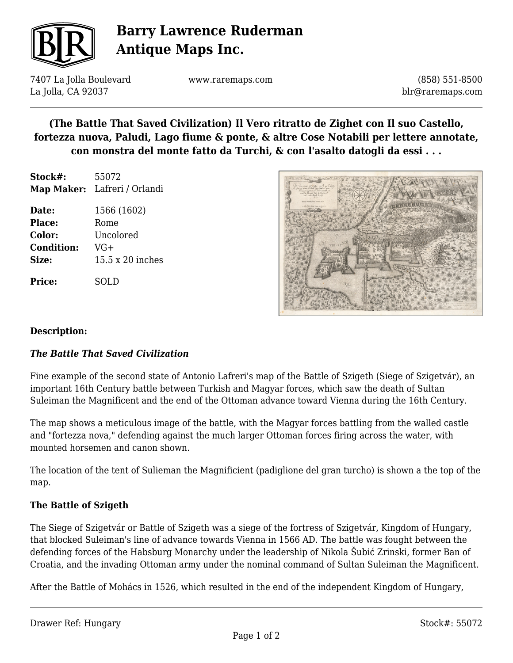

## **Barry Lawrence Ruderman Antique Maps Inc.**

7407 La Jolla Boulevard La Jolla, CA 92037

www.raremaps.com

(858) 551-8500 blr@raremaps.com

## **(The Battle That Saved Civilization) Il Vero ritratto de Zighet con Il suo Castello, fortezza nuova, Paludi, Lago fiume & ponte, & altre Cose Notabili per lettere annotate, con monstra del monte fatto da Turchi, & con l'asalto datogli da essi . . .**

**Stock#:** 55072 **Map Maker:** Lafreri / Orlandi

**Date:** 1566 (1602) Place: Rome **Color:** Uncolored **Condition:** VG+ **Size:** 15.5 x 20 inches

**Price:** SOLD



#### **Description:**

### *The Battle That Saved Civilization*

Fine example of the second state of Antonio Lafreri's map of the Battle of Szigeth (Siege of Szigetvár), an important 16th Century battle between Turkish and Magyar forces, which saw the death of Sultan Suleiman the Magnificent and the end of the Ottoman advance toward Vienna during the 16th Century.

The map shows a meticulous image of the battle, with the Magyar forces battling from the walled castle and "fortezza nova," defending against the much larger Ottoman forces firing across the water, with mounted horsemen and canon shown.

The location of the tent of Sulieman the Magnificient (padiglione del gran turcho) is shown a the top of the map.

#### **The Battle of Szigeth**

The Siege of Szigetvár or Battle of Szigeth was a siege of the fortress of Szigetvár, Kingdom of Hungary, that blocked Suleiman's line of advance towards Vienna in 1566 AD. The battle was fought between the defending forces of the Habsburg Monarchy under the leadership of Nikola Šubić Zrinski, former Ban of Croatia, and the invading Ottoman army under the nominal command of Sultan Suleiman the Magnificent.

After the Battle of Mohács in 1526, which resulted in the end of the independent Kingdom of Hungary,